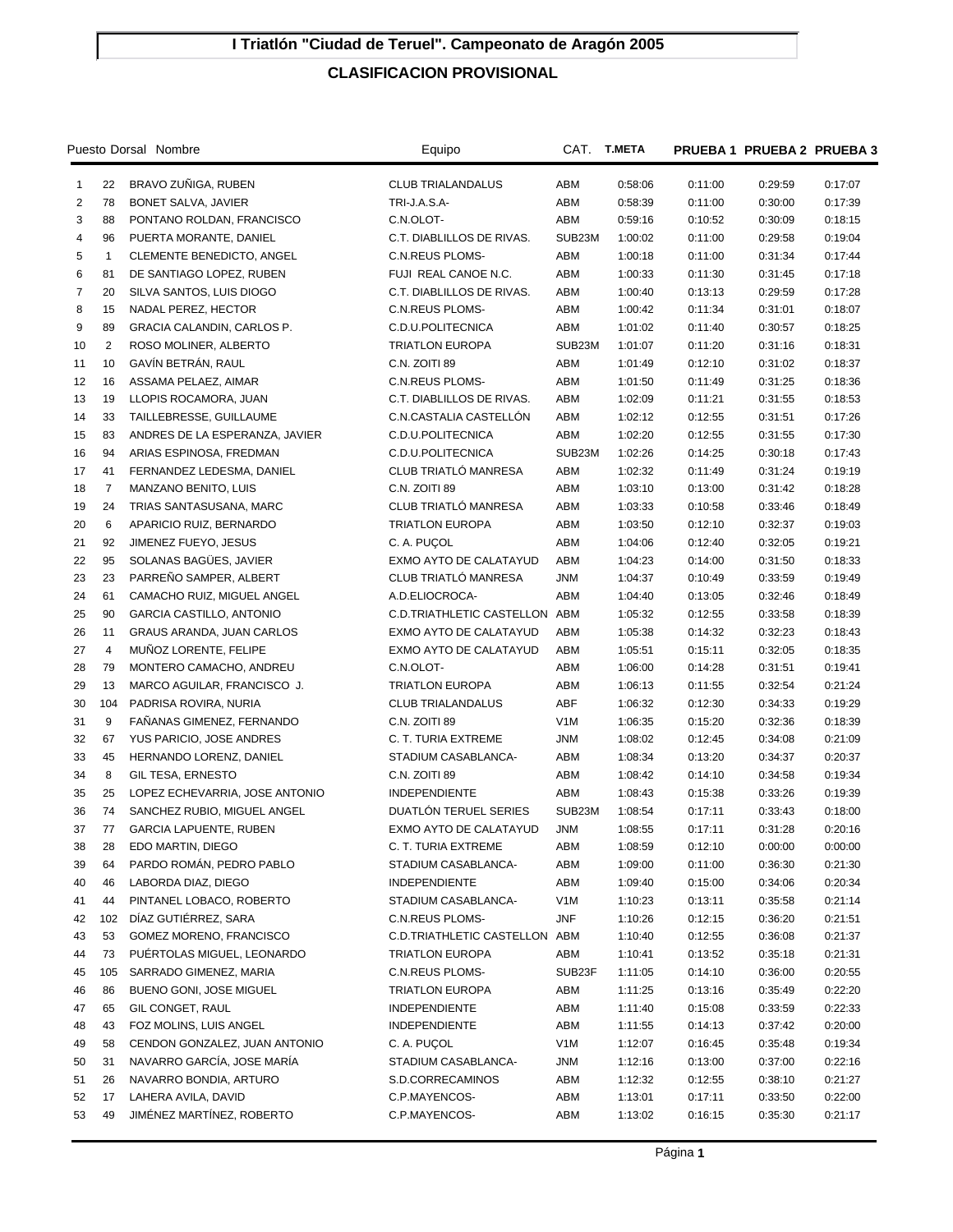## **I Triatlón "Ciudad de Teruel". Campeonato de Aragón 2005**

## **CLASIFICACION PROVISIONAL**

| Puesto Dorsal Nombre |                |                                | Equipo                        | CAT.             | T.META  |         | PRUEBA 1 PRUEBA 2 PRUEBA 3 |         |
|----------------------|----------------|--------------------------------|-------------------------------|------------------|---------|---------|----------------------------|---------|
| $\mathbf{1}$         | 22             | BRAVO ZUÑIGA, RUBEN            | <b>CLUB TRIALANDALUS</b>      | ABM              | 0:58:06 | 0:11:00 | 0:29:59                    | 0:17:07 |
| $\overline{2}$       | 78             | BONET SALVA, JAVIER            | TRI J A S A-                  | ABM              | 0:58:39 | 0:11:00 | 0:30:00                    | 0:17:39 |
| 3                    | 88             | PONTANO ROLDAN, FRANCISCO      | C.N.OLOT-                     | ABM              | 0:59:16 | 0:10:52 | 0:30:09                    | 0:18:15 |
| 4                    | 96             | PUERTA MORANTE, DANIEL         | C.T. DIABLILLOS DE RIVAS.     | SUB23M           | 1:00:02 | 0:11:00 | 0:29:58                    | 0:19:04 |
| 5                    | $\mathbf{1}$   | CLEMENTE BENEDICTO, ANGEL      | <b>C.N.REUS PLOMS-</b>        | ABM              | 1:00:18 | 0:11:00 | 0:31:34                    | 0:17:44 |
| 6                    | 81             | DE SANTIAGO LOPEZ, RUBEN       | FUJI REAL CANOE N.C.          | ABM              | 1:00:33 | 0:11:30 | 0:31:45                    | 0:17:18 |
| $\overline{7}$       | 20             | SILVA SANTOS, LUIS DIOGO       | C.T. DIABLILLOS DE RIVAS.     | ABM              | 1:00:40 | 0:13:13 | 0:29:59                    | 0:17:28 |
| 8                    | 15             | NADAL PEREZ, HECTOR            | <b>C.N.REUS PLOMS-</b>        | ABM              | 1:00:42 | 0:11:34 | 0:31:01                    | 0:18:07 |
| 9                    | 89             | GRACIA CALANDIN, CARLOS P.     | C.D.U.POLITECNICA             | ABM              | 1:01:02 | 0:11:40 | 0:30:57                    | 0:18:25 |
| 10                   | $\overline{2}$ | ROSO MOLINER, ALBERTO          | <b>TRIATLON EUROPA</b>        | SUB23M           | 1:01:07 | 0:11:20 | 0:31:16                    | 0:18:31 |
| 11                   | 10             | GAVÍN BETRÁN, RAUL             | C.N. ZOITI 89                 | ABM              | 1:01:49 | 0:12:10 | 0:31:02                    | 0:18:37 |
| 12                   | 16             | ASSAMA PELAEZ, AIMAR           | C.N.REUS PLOMS-               | ABM              | 1:01:50 | 0:11:49 | 0:31:25                    | 0:18:36 |
| 13                   | 19             | LLOPIS ROCAMORA, JUAN          | C.T. DIABLILLOS DE RIVAS.     | ABM              | 1:02:09 | 0:11:21 | 0:31:55                    | 0:18:53 |
| 14                   | 33             | TAILLEBRESSE, GUILLAUME        | C.N.CASTALIA CASTELLON        | ABM              | 1:02:12 | 0:12:55 | 0:31:51                    | 0:17:26 |
| 15                   | 83             | ANDRES DE LA ESPERANZA, JAVIER | C.D.U.POLITECNICA             | ABM              | 1:02:20 | 0:12:55 | 0:31:55                    | 0:17:30 |
| 16                   | 94             | ARIAS ESPINOSA, FREDMAN        | C.D.U.POLITECNICA             | SUB23M           | 1:02:26 | 0:14:25 | 0:30:18                    | 0:17:43 |
| 17                   | 41             | FERNANDEZ LEDESMA, DANIEL      | CLUB TRIATLÓ MANRESA          | ABM              | 1:02:32 | 0:11:49 | 0:31:24                    | 0:19:19 |
| 18                   | 7              | MANZANO BENITO, LUIS           | C.N. ZOITI 89                 | ABM              | 1:03:10 | 0:13:00 | 0:31:42                    | 0:18:28 |
| 19                   | 24             | TRIAS SANTASUSANA, MARC        | CLUB TRIATLÓ MANRESA          | ABM              | 1:03:33 | 0:10:58 | 0:33:46                    | 0:18:49 |
| 20                   | 6              | APARICIO RUIZ, BERNARDO        | <b>TRIATLON EUROPA</b>        | ABM              | 1:03:50 | 0:12:10 | 0:32:37                    | 0:19:03 |
| 21                   | 92             | JIMENEZ FUEYO, JESUS           | C. A. PUCOL                   | ABM              | 1:04:06 | 0:12:40 | 0:32:05                    | 0:19:21 |
| 22                   | 95             | SOLANAS BAGÜES, JAVIER         | EXMO AYTO DE CALATAYUD        | ABM              | 1:04:23 | 0:14:00 | 0:31:50                    | 0:18:33 |
| 23                   | 23             | PARREÑO SAMPER, ALBERT         | CLUB TRIATLÓ MANRESA          | <b>JNM</b>       | 1:04:37 | 0:10:49 | 0:33:59                    | 0:19:49 |
| 24                   | 61             | CAMACHO RUIZ, MIGUEL ANGEL     | A.D.ELIOCROCA-                | ABM              | 1:04:40 | 0:13:05 | 0:32:46                    | 0:18:49 |
| 25                   | 90             | GARCIA CASTILLO, ANTONIO       | C.D.TRIATHLETIC CASTELLON ABM |                  | 1:05:32 | 0:12:55 | 0:33:58                    | 0:18:39 |
| 26                   | 11             | GRAUS ARANDA, JUAN CARLOS      | EXMO AYTO DE CALATAYUD        | ABM              | 1:05:38 | 0:14:32 | 0:32:23                    | 0:18:43 |
| 27                   | 4              | MUÑOZ LORENTE, FELIPE          | EXMO AYTO DE CALATAYUD        | ABM              | 1:05:51 | 0:15:11 | 0:32:05                    | 0:18:35 |
| 28                   | 79             | MONTERO CAMACHO, ANDREU        | C.N.OLOT-                     | ABM              | 1:06:00 | 0:14:28 | 0:31:51                    | 0:19:41 |
| 29                   | 13             | MARCO AGUILAR, FRANCISCO J.    | <b>TRIATLON EUROPA</b>        | ABM              | 1:06:13 | 0:11:55 | 0:32:54                    | 0:21:24 |
| 30                   | 104            | PADRISA ROVIRA, NURIA          | <b>CLUB TRIALANDALUS</b>      | ABF              | 1:06:32 | 0:12:30 | 0:34:33                    | 0:19:29 |
| 31                   | 9              | FANANAS GIMENEZ, FERNANDO      | C.N. ZOITI 89                 | V <sub>1</sub> M | 1:06:35 | 0:15:20 | 0:32:36                    | 0:18:39 |
| 32                   | 67             | YUS PARICIO, JOSE ANDRES       | C. T. TURIA EXTREME           | <b>JNM</b>       | 1:08:02 | 0:12:45 | 0:34:08                    | 0:21:09 |
| 33                   | 45             | HERNANDO LORENZ, DANIEL        | STADIUM CASABLANCA-           | ABM              | 1:08:34 | 0:13:20 | 0:34:37                    | 0:20:37 |
| 34                   | 8              | GIL TESA, ERNESTO              | C.N. ZOITI 89                 | ABM              | 1:08:42 | 0:14:10 | 0:34:58                    | 0:19:34 |
| 35                   | 25             | LOPEZ ECHEVARRIA, JOSE ANTONIO | <b>INDEPENDIENTE</b>          | ABM              | 1:08:43 | 0:15:38 | 0:33:26                    | 0:19:39 |
| 36                   | 74             | SANCHEZ RUBIO, MIGUEL ANGEL    | DUATLON TERUEL SERIES         | SUB23M           | 1:08:54 | 0:17:11 | 0:33:43                    | 0:18:00 |
| 37                   | 77             | <b>GARCIA LAPUENTE, RUBEN</b>  | EXMO AYTO DE CALATAYUD        | <b>JNM</b>       | 1:08:55 | 0:17:11 | 0:31:28                    | 0:20:16 |
| 38                   | 28             | EDO MARTIN, DIEGO              | C. T. TURIA EXTREME           | ABM              | 1:08:59 | 0:12:10 | 0:00:00                    | 0:00:00 |
| 39                   | 64             | PARDO ROMÁN, PEDRO PABLO       | STADIUM CASABLANCA-           | ABM              | 1:09:00 | 0:11:00 | 0:36:30                    | 0:21:30 |
| 40                   | 46             | LABORDA DIAZ, DIEGO            | <b>INDEPENDIENTE</b>          | ABM              | 1:09:40 | 0:15:00 | 0:34:06                    | 0:20:34 |
| 41                   | 44             | PINTANEL LOBACO, ROBERTO       | STADIUM CASABLANCA-           | V <sub>1</sub> M | 1:10:23 | 0:13:11 | 0:35:58                    | 0:21:14 |
| 42                   | 102            | DÍAZ GUTIÉRREZ, SARA           | <b>C.N.REUS PLOMS-</b>        | JNF              | 1:10:26 | 0:12:15 | 0:36:20                    | 0:21:51 |
| 43                   | 53             | GOMEZ MORENO, FRANCISCO        | C.D.TRIATHLETIC CASTELLON ABM |                  | 1:10:40 | 0:12:55 | 0:36:08                    | 0:21:37 |
| 44                   | 73             | PUÉRTOLAS MIGUEL, LEONARDO     | <b>TRIATLON EUROPA</b>        | ABM              | 1:10:41 | 0:13:52 | 0:35:18                    | 0:21:31 |
| 45                   | 105            | SARRADO GIMENEZ, MARIA         | C.N.REUS PLOMS-               | SUB23F           | 1:11:05 | 0:14:10 | 0:36:00                    | 0:20:55 |
| 46                   | 86             | BUENO GONI, JOSE MIGUEL        | <b>TRIATLON EUROPA</b>        | ABM              | 1:11:25 | 0:13:16 | 0:35:49                    | 0:22:20 |
| 47                   | 65             | GIL CONGET, RAUL               | <b>INDEPENDIENTE</b>          | ABM              | 1:11:40 | 0:15:08 | 0:33:59                    | 0:22:33 |
| 48                   | 43             | FOZ MOLINS, LUIS ANGEL         | <b>INDEPENDIENTE</b>          | ABM              | 1:11:55 | 0:14:13 | 0:37:42                    | 0:20:00 |
| 49                   | 58             | CENDON GONZALEZ, JUAN ANTONIO  | C. A. PUÇOL                   | V1M              | 1:12:07 | 0:16:45 | 0:35:48                    | 0:19:34 |
| 50                   | 31             | NAVARRO GARCÍA, JOSE MARÍA     | STADIUM CASABLANCA-           | JNM              | 1:12:16 | 0:13:00 | 0:37:00                    | 0:22:16 |
| 51                   | 26             | NAVARRO BONDIA, ARTURO         | S.D.CORRECAMINOS              | ABM              | 1:12:32 | 0:12:55 | 0:38:10                    | 0:21:27 |
| 52                   | 17             | LAHERA AVILA, DAVID            | C.P.MAYENCOS-                 | ABM              | 1:13:01 | 0:17:11 | 0:33:50                    | 0:22:00 |
| 53                   | 49             | JIMÉNEZ MARTÍNEZ, ROBERTO      | C.P.MAYENCOS-                 | ABM              | 1:13:02 | 0:16:15 | 0:35:30                    | 0:21:17 |